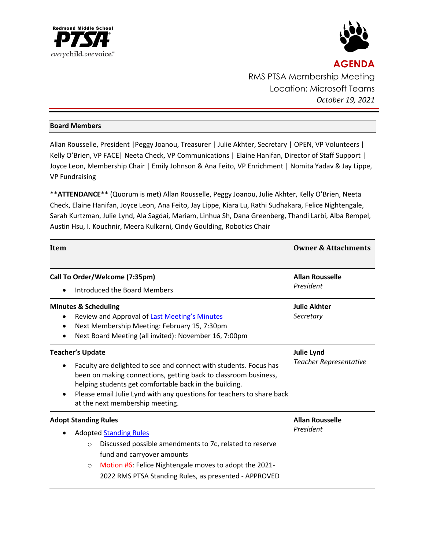



**AGENDA** RMS PTSA Membership Meeting Location: Microsoft Teams *October 19, 2021*

## **Board Members**

Allan Rousselle, President |Peggy Joanou, Treasurer | Julie Akhter, Secretary | OPEN, VP Volunteers | Kelly O'Brien, VP FACE| Neeta Check, VP Communications | Elaine Hanifan, Director of Staff Support | Joyce Leon, Membership Chair | Emily Johnson & Ana Feito, VP Enrichment | Nomita Yadav & Jay Lippe, VP Fundraising

\*\***ATTENDANCE**\*\* (Quorum is met) Allan Rousselle, Peggy Joanou, Julie Akhter, Kelly O'Brien, Neeta Check, Elaine Hanifan, Joyce Leon, Ana Feito, Jay Lippe, Kiara Lu, Rathi Sudhakara, Felice Nightengale, Sarah Kurtzman, Julie Lynd, Ala Sagdai, Mariam, Linhua Sh, Dana Greenberg, Thandi Larbi, Alba Rempel, Austin Hsu, I. Kouchnir, Meera Kulkarni, Cindy Goulding, Robotics Chair

| Item                                                                                                                                                                                                                                                                                                                                               | <b>Owner &amp; Attachments</b>              |
|----------------------------------------------------------------------------------------------------------------------------------------------------------------------------------------------------------------------------------------------------------------------------------------------------------------------------------------------------|---------------------------------------------|
| Call To Order/Welcome (7:35pm)<br>Introduced the Board Members                                                                                                                                                                                                                                                                                     | <b>Allan Rousselle</b><br>President         |
| <b>Minutes &amp; Scheduling</b><br>Review and Approval of <b>Last Meeting's Minutes</b><br>Next Membership Meeting: February 15, 7:30pm<br>Next Board Meeting (all invited): November 16, 7:00pm                                                                                                                                                   | <b>Julie Akhter</b><br>Secretary            |
| <b>Teacher's Update</b><br>Faculty are delighted to see and connect with students. Focus has<br>been on making connections, getting back to classroom business,<br>helping students get comfortable back in the building.<br>Please email Julie Lynd with any questions for teachers to share back<br>$\bullet$<br>at the next membership meeting. | <b>Julie Lynd</b><br>Teacher Representative |
| <b>Adopt Standing Rules</b><br><b>Adopted Standing Rules</b><br>Discussed possible amendments to 7c, related to reserve<br>$\circ$<br>fund and carryover amounts<br>Motion #6: Felice Nightengale moves to adopt the 2021-<br>$\circ$<br>2022 RMS PTSA Standing Rules, as presented - APPROVED                                                     | <b>Allan Rousselle</b><br>President         |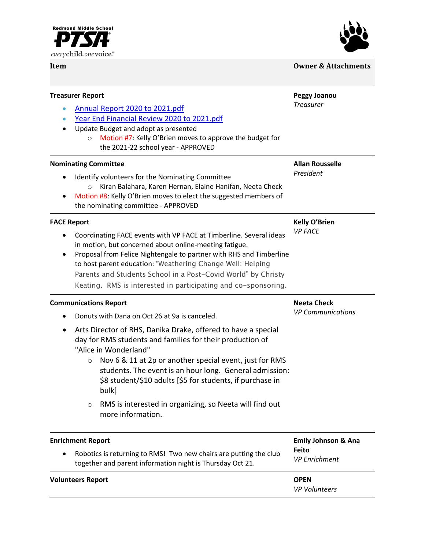



| Item                            |                                                                                                                                                                                                                                                                                                                                                                                                                                    | <b>Owner &amp; Attachments</b>                 |  |
|---------------------------------|------------------------------------------------------------------------------------------------------------------------------------------------------------------------------------------------------------------------------------------------------------------------------------------------------------------------------------------------------------------------------------------------------------------------------------|------------------------------------------------|--|
|                                 | <b>Treasurer Report</b><br>Annual Report 2020 to 2021.pdf<br>Year End Financial Review 2020 to 2021.pdf<br>Update Budget and adopt as presented<br>Motion #7: Kelly O'Brien moves to approve the budget for<br>$\circ$<br>the 2021-22 school year - APPROVED                                                                                                                                                                       | <b>Peggy Joanou</b><br><b>Treasurer</b>        |  |
| $\bullet$                       | <b>Nominating Committee</b><br>Identify volunteers for the Nominating Committee<br>Kiran Balahara, Karen Hernan, Elaine Hanifan, Neeta Check<br>$\circ$<br>Motion #8: Kelly O'Brien moves to elect the suggested members of<br>the nominating committee - APPROVED                                                                                                                                                                 | <b>Allan Rousselle</b><br>President            |  |
| <b>FACE Report</b><br>$\bullet$ | Coordinating FACE events with VP FACE at Timberline. Several ideas<br>in motion, but concerned about online-meeting fatigue.<br>Proposal from Felice Nightengale to partner with RHS and Timberline<br>to host parent education: "Weathering Change Well: Helping<br>Parents and Students School in a Post-Covid World" by Christy<br>Keating. RMS is interested in participating and co-sponsoring.                               | <b>Kelly O'Brien</b><br><b>VP FACE</b>         |  |
| $\bullet$                       | <b>Communications Report</b><br>Donuts with Dana on Oct 26 at 9a is canceled.<br>Arts Director of RHS, Danika Drake, offered to have a special<br>day for RMS students and families for their production of<br>"Alice in Wonderland"<br>Nov 6 & 11 at 2p or another special event, just for RMS<br>$\circ$<br>students. The event is an hour long. General admission:<br>\$8 student/\$10 adults [\$5 for students, if purchase in | <b>Neeta Check</b><br><b>VP Communications</b> |  |

o RMS is interested in organizing, so Neeta will find out more information.

bulk]

| <b>Emily Johnson &amp; Ana</b><br><b>Enrichment Report</b><br><b>Feito</b><br>Robotics is returning to RMS! Two new chairs are putting the club<br><b>VP</b> Enrichment<br>together and parent information night is Thursday Oct 21. |                                     |
|--------------------------------------------------------------------------------------------------------------------------------------------------------------------------------------------------------------------------------------|-------------------------------------|
| <b>Volunteers Report</b>                                                                                                                                                                                                             | <b>OPEN</b><br><b>VP Volunteers</b> |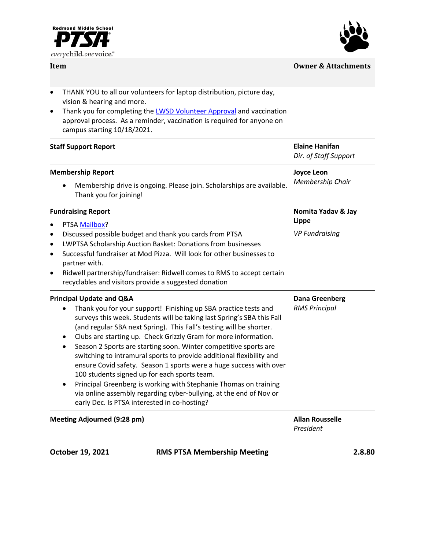

## **Item Owner & Attachments**



| $\bullet$ | THANK YOU to all our volunteers for laptop distribution, picture day, |
|-----------|-----------------------------------------------------------------------|
|           | vision & hearing and more.                                            |

• Thank you for completing the **LWSD Volunteer Approval** and vaccination approval process. As a reminder, vaccination is required for anyone on campus starting 10/18/2021.

| <b>Staff Support Report</b>                                                                                                                                                                                                                                                                                                                                                                                                                                                                                                                                                                                                                                                                                                                                                                                                   | <b>Elaine Hanifan</b><br>Dir. of Staff Support |        |
|-------------------------------------------------------------------------------------------------------------------------------------------------------------------------------------------------------------------------------------------------------------------------------------------------------------------------------------------------------------------------------------------------------------------------------------------------------------------------------------------------------------------------------------------------------------------------------------------------------------------------------------------------------------------------------------------------------------------------------------------------------------------------------------------------------------------------------|------------------------------------------------|--------|
| <b>Membership Report</b><br>Membership drive is ongoing. Please join. Scholarships are available.<br>Thank you for joining!                                                                                                                                                                                                                                                                                                                                                                                                                                                                                                                                                                                                                                                                                                   | <b>Joyce Leon</b><br>Membership Chair          |        |
| <b>Fundraising Report</b>                                                                                                                                                                                                                                                                                                                                                                                                                                                                                                                                                                                                                                                                                                                                                                                                     | Nomita Yadav & Jay<br>Lippe                    |        |
| PTSA Mailbox?<br>$\bullet$<br>Discussed possible budget and thank you cards from PTSA<br>$\bullet$<br>LWPTSA Scholarship Auction Basket: Donations from businesses<br>$\bullet$<br>Successful fundraiser at Mod Pizza. Will look for other businesses to<br>$\bullet$<br>partner with.<br>Ridwell partnership/fundraiser: Ridwell comes to RMS to accept certain<br>$\bullet$<br>recyclables and visitors provide a suggested donation                                                                                                                                                                                                                                                                                                                                                                                        | <b>VP Fundraising</b>                          |        |
| <b>Principal Update and Q&amp;A</b><br>Thank you for your support! Finishing up SBA practice tests and<br>surveys this week. Students will be taking last Spring's SBA this Fall<br>(and regular SBA next Spring). This Fall's testing will be shorter.<br>Clubs are starting up. Check Grizzly Gram for more information.<br>$\bullet$<br>Season 2 Sports are starting soon. Winter competitive sports are<br>$\bullet$<br>switching to intramural sports to provide additional flexibility and<br>ensure Covid safety. Season 1 sports were a huge success with over<br>100 students signed up for each sports team.<br>Principal Greenberg is working with Stephanie Thomas on training<br>$\bullet$<br>via online assembly regarding cyber-bullying, at the end of Nov or<br>early Dec. Is PTSA interested in co-hosting? | <b>Dana Greenberg</b><br><b>RMS Principal</b>  |        |
| <b>Meeting Adjourned (9:28 pm)</b>                                                                                                                                                                                                                                                                                                                                                                                                                                                                                                                                                                                                                                                                                                                                                                                            | <b>Allan Rousselle</b><br>President            |        |
| October 19, 2021<br><b>RMS PTSA Membership Meeting</b>                                                                                                                                                                                                                                                                                                                                                                                                                                                                                                                                                                                                                                                                                                                                                                        |                                                | 2.8.80 |